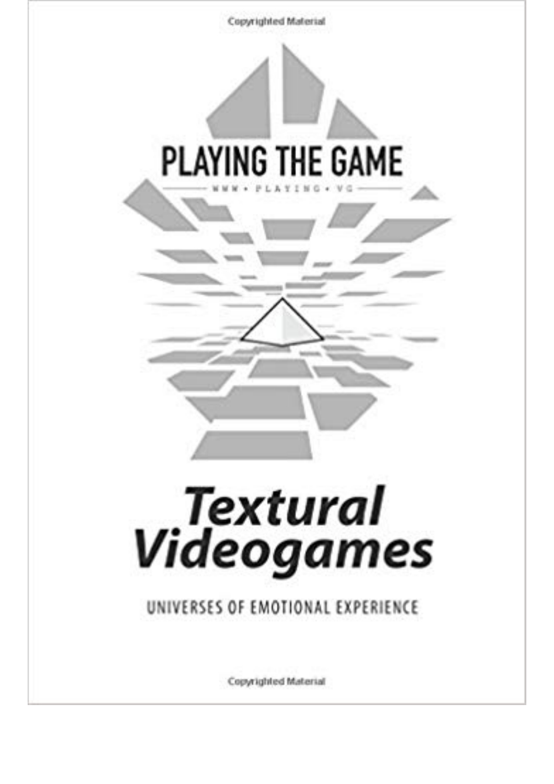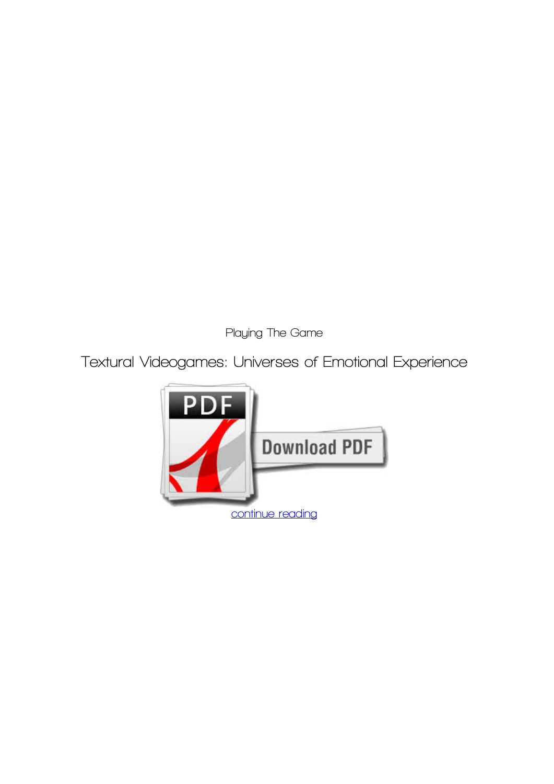*Playing The Game*

**Textural Videogames: Universes of Emotional Experience**

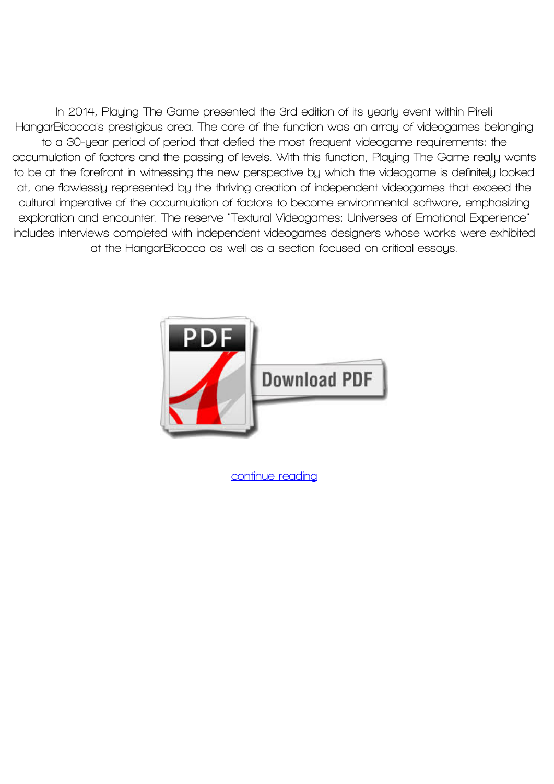**In 2014, Playing The Game presented the 3rd edition of its yearly event within Pirelli HangarBicocca's prestigious area. The core of the function was an array of videogames belonging to a 30-year period of period that defied the most frequent videogame requirements: the accumulation of factors and the passing of levels. With this function, Playing The Game really wants to be at the forefront in witnessing the new perspective by which the videogame is definitely looked at, one flawlessly represented by the thriving creation of independent videogames that exceed the cultural imperative of the accumulation of factors to become environmental software, emphasizing exploration and encounter. The reserve "Textural Videogames: Universes of Emotional Experience" includes interviews completed with independent videogames designers whose works were exhibited at the HangarBicocca as well as a section focused on critical essays.**



**[continue reading](http://bit.ly/2Tge8Fv)**